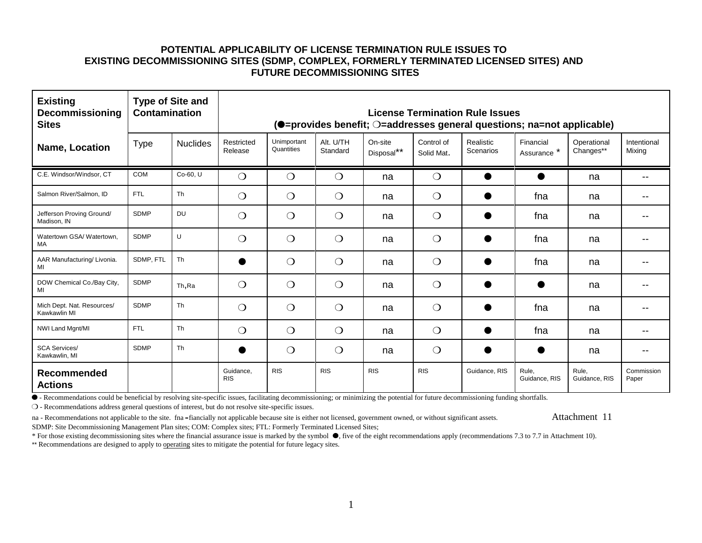| <b>Existing</b><br>Decommissioning<br><b>Sites</b> | <b>Type of Site and</b><br><b>Contamination</b> |                 | License Termination Rule Issues<br>(O=provides benefit; O=addresses general questions; na=not applicable) |                           |                       |                       |                          |                        |                          |                          |                       |
|----------------------------------------------------|-------------------------------------------------|-----------------|-----------------------------------------------------------------------------------------------------------|---------------------------|-----------------------|-----------------------|--------------------------|------------------------|--------------------------|--------------------------|-----------------------|
| Name, Location                                     | <b>Type</b>                                     | <b>Nuclides</b> | Restricted<br>Release                                                                                     | Unimportant<br>Quantities | Alt. U/TH<br>Standard | On-site<br>Disposal** | Control of<br>Solid Mat. | Realistic<br>Scenarios | Financial<br>Assurance * | Operational<br>Changes** | Intentional<br>Mixing |
| C.E. Windsor/Windsor, CT                           | <b>COM</b>                                      | Co-60. U        | $\bigcirc$                                                                                                | $\bigcirc$                | $\bigcirc$            | na                    | $\bigcirc$               |                        |                          | na                       |                       |
| Salmon River/Salmon, ID                            | <b>FTL</b>                                      | Th              | $\bigcirc$                                                                                                | $\bigcirc$                | $\bigcirc$            | na                    | $\bigcirc$               | ●                      | fna                      | na                       |                       |
| Jefferson Proving Ground/<br>Madison. IN           | <b>SDMP</b>                                     | <b>DU</b>       | $\bigcirc$                                                                                                | $\bigcirc$                | $\bigcirc$            | na                    | $\bigcirc$               | $\bullet$              | fna                      | na                       |                       |
| Watertown GSA/ Watertown.<br>MA                    | <b>SDMP</b>                                     | $\cup$          | $\bigcirc$                                                                                                | $\bigcirc$                | $\bigcirc$            | na                    | $\bigcirc$               | ●                      | fna                      | na                       |                       |
| AAR Manufacturing/ Livonia.<br>MI                  | SDMP. FTL                                       | Th              |                                                                                                           | $\bigcirc$                | $\bigcirc$            | na                    | $\bigcirc$               |                        | fna                      | na                       |                       |
| DOW Chemical Co./Bay City,<br>MI                   | <b>SDMP</b>                                     | Th, Ra          | $\bigcirc$                                                                                                | $\bigcirc$                | $\bigcirc$            | na                    | $\bigcirc$               |                        |                          | na                       |                       |
| Mich Dept. Nat. Resources/<br>Kawkawlin MI         | <b>SDMP</b>                                     | Th              | $\bigcirc$                                                                                                | $\bigcirc$                | $\bigcirc$            | na                    | $\bigcirc$               | $\bullet$              | fna                      | na                       |                       |
| NWI Land Mgnt/MI                                   | <b>FTL</b>                                      | Th              | $\bigcirc$                                                                                                | $\bigcirc$                | $\bigcirc$            | na                    | $\bigcirc$               | ●                      | fna                      | na                       |                       |
| <b>SCA Services/</b><br>Kawkawlin, MI              | <b>SDMP</b>                                     | Th              |                                                                                                           | $\bigcirc$                | $\bigcirc$            | na                    | $\bigcirc$               | $\bullet$              |                          | na                       |                       |
| Recommended<br><b>Actions</b>                      |                                                 |                 | Guidance,<br><b>RIS</b>                                                                                   | <b>RIS</b>                | <b>RIS</b>            | <b>RIS</b>            | <b>RIS</b>               | Guidance, RIS          | Rule.<br>Guidance, RIS   | Rule,<br>Guidance, RIS   | Commission<br>Paper   |

ê - Recommendations could be beneficial by resolving site-specific issues, facilitating decommissioning; or minimizing the potential for future decommissioning funding shortfalls.

- Recommendations address general questions of interest, but do not resolve site-specific issues.

na - Recommendations not applicable to the site. fna -fiancially not applicable because site is either not licensed, government owned, or without significant assets. Attachment 11 SDMP: Site Decommissioning Management Plan sites; COM: Complex sites; FTL: Formerly Terminated Licensed Sites;

\* For those existing decommissioning sites where the financial assurance issue is marked by the symbol  $\bullet$ , five of the eight recommendations apply (recommendations 7.3 to 7.7 in Attachment 10).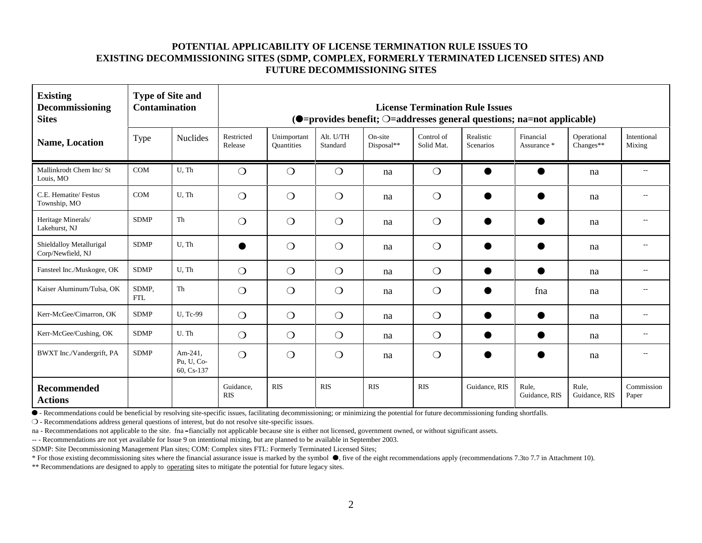| <b>Existing</b><br>Decommissioning<br><b>Sites</b> | <b>Type of Site and</b><br><b>Contamination</b> |                                     | <b>License Termination Rule Issues</b><br>$\textcircled{\textbf{I}}$ = provides benefit; $\bigcirc$ = addresses general questions; na=not applicable) |                           |                       |                       |                          |                        |                          |                          |                       |
|----------------------------------------------------|-------------------------------------------------|-------------------------------------|-------------------------------------------------------------------------------------------------------------------------------------------------------|---------------------------|-----------------------|-----------------------|--------------------------|------------------------|--------------------------|--------------------------|-----------------------|
| <b>Name, Location</b>                              | Type                                            | <b>Nuclides</b>                     | Restricted<br>Release                                                                                                                                 | Unimportant<br>Quantities | Alt. U/TH<br>Standard | On-site<br>Disposal** | Control of<br>Solid Mat. | Realistic<br>Scenarios | Financial<br>Assurance * | Operational<br>Changes** | Intentional<br>Mixing |
| Mallinkrodt Chem Inc/ St<br>Louis, MO              | COM                                             | $U$ , Th                            | $\bigcirc$                                                                                                                                            | $\bigcirc$                | $\bigcirc$            | na                    | $\bigcirc$               |                        |                          | na                       |                       |
| C.E. Hematite/ Festus<br>Township, MO              | <b>COM</b>                                      | U.Th                                | $\bigcirc$                                                                                                                                            | $\bigcirc$                | $\bigcirc$            | na                    | $\bigcirc$               |                        |                          | na                       |                       |
| Heritage Minerals/<br>Lakehurst, NJ                | <b>SDMP</b>                                     | Th                                  | $\bigcirc$                                                                                                                                            | $\bigcirc$                | $\bigcirc$            | na                    | $\bigcirc$               |                        |                          | na                       |                       |
| Shieldalloy Metallurigal<br>Corp/Newfield, NJ      | <b>SDMP</b>                                     | U.Th                                | c                                                                                                                                                     | $\bigcirc$                | $\bigcirc$            | na                    | $\bigcirc$               |                        |                          | na                       |                       |
| Fansteel Inc./Muskogee, OK                         | <b>SDMP</b>                                     | U.Th                                | $\bigcirc$                                                                                                                                            | $\bigcirc$                | $\bigcirc$            | na                    | $\bigcirc$               |                        |                          | na                       |                       |
| Kaiser Aluminum/Tulsa, OK                          | SDMP,<br><b>FTL</b>                             | Th                                  | $\bigcirc$                                                                                                                                            | $\bigcirc$                | $\bigcirc$            | na                    | $\bigcirc$               |                        | fna                      | na                       |                       |
| Kerr-McGee/Cimarron, OK                            | <b>SDMP</b>                                     | U, Tc-99                            | $\bigcirc$                                                                                                                                            | $\bigcirc$                | $\bigcirc$            | na                    | $\bigcirc$               |                        |                          | na                       |                       |
| Kerr-McGee/Cushing, OK                             | <b>SDMP</b>                                     | U.Th                                | $\bigcirc$                                                                                                                                            | $\bigcirc$                | $\bigcirc$            | na                    | $\bigcirc$               | O                      |                          | na                       | $-$                   |
| BWXT Inc./Vandergrift, PA                          | <b>SDMP</b>                                     | Am-241.<br>Pu, U, Co-<br>60, Cs-137 | $\bigcirc$                                                                                                                                            | $\bigcirc$                | $\bigcirc$            | na                    | $\bigcirc$               |                        | r                        | na                       | $-$                   |
| Recommended<br><b>Actions</b>                      |                                                 |                                     | Guidance.<br><b>RIS</b>                                                                                                                               | <b>RIS</b>                | <b>RIS</b>            | <b>RIS</b>            | <b>RIS</b>               | Guidance, RIS          | Rule,<br>Guidance, RIS   | Rule.<br>Guidance, RIS   | Commission<br>Paper   |

ê - Recommendations could be beneficial by resolving site-specific issues, facilitating decommissioning; or minimizing the potential for future decommissioning funding shortfalls.

- Recommendations address general questions of interest, but do not resolve site-specific issues.

na - Recommendations not applicable to the site. fna -fiancially not applicable because site is either not licensed, government owned, or without significant assets.

-- - Recommendations are not yet available for Issue 9 on intentional mixing, but are planned to be available in September 2003.

SDMP: Site Decommissioning Management Plan sites; COM: Complex sites FTL: Formerly Terminated Licensed Sites;

\* For those existing decommissioning sites where the financial assurance issue is marked by the symbol ê, five of the eight recommendations apply (recommendations 7.3to 7.7 in Attachment 10).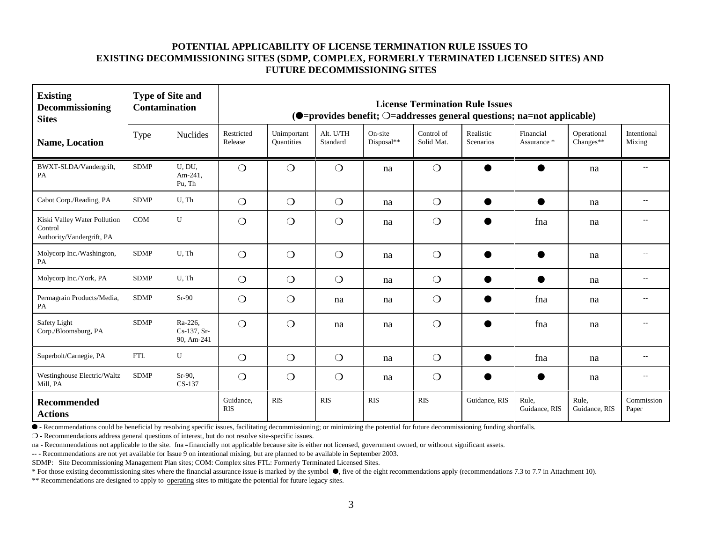| <b>Existing</b><br>Decommissioning<br><b>Sites</b>                   | <b>Type of Site and</b><br><b>Contamination</b> |                                        | <b>License Termination Rule Issues</b><br>(O=provides benefit; O=addresses general questions; na=not applicable) |                           |                       |                       |                          |                        |                          |                            |                       |
|----------------------------------------------------------------------|-------------------------------------------------|----------------------------------------|------------------------------------------------------------------------------------------------------------------|---------------------------|-----------------------|-----------------------|--------------------------|------------------------|--------------------------|----------------------------|-----------------------|
| <b>Name, Location</b>                                                | Type                                            | <b>Nuclides</b>                        | Restricted<br>Release                                                                                            | Unimportant<br>Quantities | Alt. U/TH<br>Standard | On-site<br>Disposal** | Control of<br>Solid Mat. | Realistic<br>Scenarios | Financial<br>Assurance * | Operational<br>$Changes**$ | Intentional<br>Mixing |
| BWXT-SLDA/Vandergrift,<br>PA                                         | <b>SDMP</b>                                     | U, DU,<br>Am-241,<br>Pu, Th            | $\bigcirc$                                                                                                       | $\bigcirc$                | $\bigcirc$            | na                    | $\bigcirc$               |                        | ●                        | na                         | $\sim$ $-$            |
| Cabot Corp./Reading, PA                                              | <b>SDMP</b>                                     | U, Th                                  | $\bigcirc$                                                                                                       | $\bigcirc$                | $\bigcirc$            | na                    | $\bigcirc$               | $\bullet$              | ●                        | na                         | $-$                   |
| Kiski Valley Water Pollution<br>Control<br>Authority/Vandergrift, PA | COM                                             | U                                      | $\bigcirc$                                                                                                       | $\bigcirc$                | $\bigcirc$            | na                    | $\bigcirc$               |                        | fna                      | na                         |                       |
| Molycorp Inc./Washington,<br>PA                                      | <b>SDMP</b>                                     | U.Th                                   | $\bigcirc$                                                                                                       | $\bigcirc$                | $\bigcirc$            | na                    | $\bigcirc$               | $\bullet$              |                          | na                         |                       |
| Molycorp Inc./York, PA                                               | <b>SDMP</b>                                     | U.Th                                   | $\bigcirc$                                                                                                       | $\bigcirc$                | $\bigcirc$            | na                    | $\bigcirc$               | $\bullet$              |                          | na                         | $-$                   |
| Permagrain Products/Media,<br>PA                                     | <b>SDMP</b>                                     | $Sr-90$                                | $\bigcirc$                                                                                                       | $\bigcirc$                | na                    | na                    | $\bigcirc$               | $\bullet$              | fna                      | na                         | --                    |
| Safety Light<br>Corp./Bloomsburg, PA                                 | <b>SDMP</b>                                     | Ra-226,<br>$Cs-137, Sr-$<br>90, Am-241 | $\bigcirc$                                                                                                       | $\bigcirc$                | na                    | na                    | $\bigcirc$               |                        | fna                      | na                         |                       |
| Superbolt/Carnegie, PA                                               | <b>FTL</b>                                      | $\mathbf{U}$                           | $\bigcirc$                                                                                                       | $\bigcirc$                | $\bigcirc$            | na                    | $\bigcirc$               | $\bullet$              | fna                      | na                         | $\sim$                |
| Westinghouse Electric/Waltz<br>Mill, PA                              | <b>SDMP</b>                                     | $Sr-90.$<br>CS-137                     | $\bigcirc$                                                                                                       | $\bigcirc$                | $\bigcirc$            | na                    | $\bigcirc$               | $\bullet$              |                          | na                         | $\sim$                |
| <b>Recommended</b><br><b>Actions</b>                                 |                                                 |                                        | Guidance,<br><b>RIS</b>                                                                                          | <b>RIS</b>                | <b>RIS</b>            | <b>RIS</b>            | <b>RIS</b>               | Guidance, RIS          | Rule.<br>Guidance, RIS   | Rule.<br>Guidance, RIS     | Commission<br>Paper   |

ê - Recommendations could be beneficial by resolving specific issues, facilitating decommissioning; or minimizing the potential for future decommissioning funding shortfalls.

- Recommendations address general questions of interest, but do not resolve site-specific issues.

na - Recommendations not applicable to the site. fna -financially not applicable because site is either not licensed, government owned, or withoout significant assets.

-- - Recommendations are not yet available for Issue 9 on intentional mixing, but are planned to be available in September 2003.

SDMP: Site Decommissioning Management Plan sites; COM: Complex sites FTL: Formerly Terminated Licensed Sites.

\* For those existing decommissioning sites where the financial assurance issue is marked by the symbol  $\bullet$ , five of the eight recommendations apply (recommendations 7.3 to 7.7 in Attachment 10).